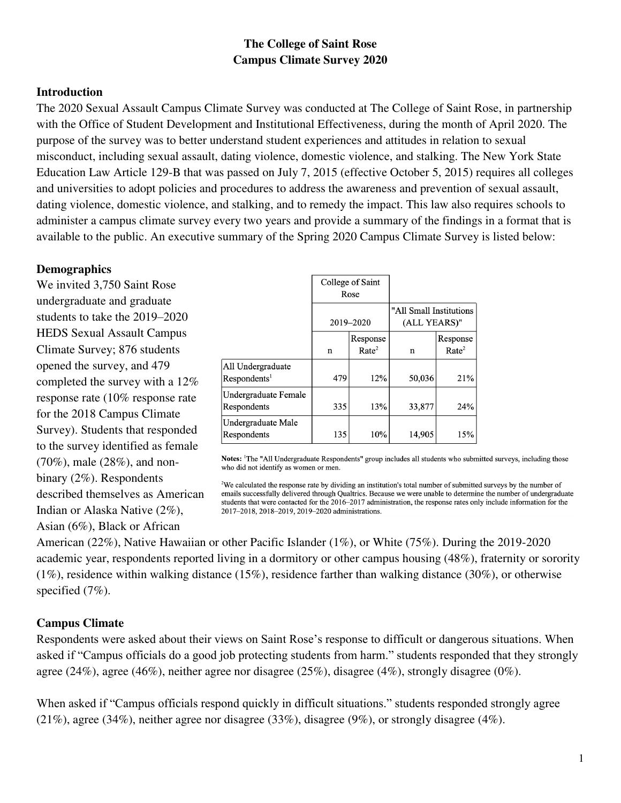# **The College of Saint Rose Campus Climate Survey 2020**

### **Introduction**

The 2020 Sexual Assault Campus Climate Survey was conducted at The College of Saint Rose, in partnership with the Office of Student Development and Institutional Effectiveness, during the month of April 2020. The purpose of the survey was to better understand student experiences and attitudes in relation to sexual misconduct, including sexual assault, dating violence, domestic violence, and stalking. The New York State Education Law Article 129-B that was passed on July 7, 2015 (effective October 5, 2015) requires all colleges and universities to adopt policies and procedures to address the awareness and prevention of sexual assault, dating violence, domestic violence, and stalking, and to remedy the impact. This law also requires schools to administer a campus climate survey every two years and provide a summary of the findings in a format that is available to the public. An executive summary of the Spring 2020 Campus Climate Survey is listed below:

### **Demographics**

We invited 3,750 Saint Rose undergraduate and graduate students to take the 2019–2020 HEDS Sexual Assault Campus Climate Survey; 876 students opened the survey, and 479 completed the survey with a 12% response rate (10% response rate for the 2018 Campus Climate Survey). Students that responded to the survey identified as female (70%), male (28%), and nonbinary (2%). Respondents described themselves as American Indian or Alaska Native (2%), Asian (6%), Black or African

|                                          | College of Saint<br>Rose<br>2019-2020 |                               |                                         |                               |
|------------------------------------------|---------------------------------------|-------------------------------|-----------------------------------------|-------------------------------|
|                                          |                                       |                               | "All Small Institutions<br>(ALL YEARS)" |                               |
|                                          | n                                     | Response<br>Rate <sup>2</sup> | n                                       | Response<br>Rate <sup>2</sup> |
| All Undergraduate<br>$\text{Response}^1$ | 479                                   | 12%                           | 50,036                                  | 21%                           |
| Undergraduate Female<br>Respondents      | 335                                   | 13%                           | 33,877                                  | 24%                           |
| Undergraduate Male<br>Respondents        | 135                                   | 10%                           | 14,905                                  | 15%                           |

Notes: <sup>1</sup>The "All Undergraduate Respondents" group includes all students who submitted surveys, including those who did not identify as women or men.

<sup>2</sup>We calculated the response rate by dividing an institution's total number of submitted surveys by the number of emails successfully delivered through Qualtrics. Because we were unable to determine the number of undergraduate students that were contacted for the 2016-2017 administration, the response rates only include information for the 2017-2018, 2018-2019, 2019-2020 administrations.

American (22%), Native Hawaiian or other Pacific Islander (1%), or White (75%). During the 2019-2020 academic year, respondents reported living in a dormitory or other campus housing (48%), fraternity or sorority (1%), residence within walking distance (15%), residence farther than walking distance (30%), or otherwise specified  $(7%)$ .

## **Campus Climate**

Respondents were asked about their views on Saint Rose's response to difficult or dangerous situations. When asked if "Campus officials do a good job protecting students from harm." students responded that they strongly agree (24%), agree (46%), neither agree nor disagree (25%), disagree (4%), strongly disagree (0%).

When asked if "Campus officials respond quickly in difficult situations." students responded strongly agree (21%), agree (34%), neither agree nor disagree (33%), disagree (9%), or strongly disagree (4%).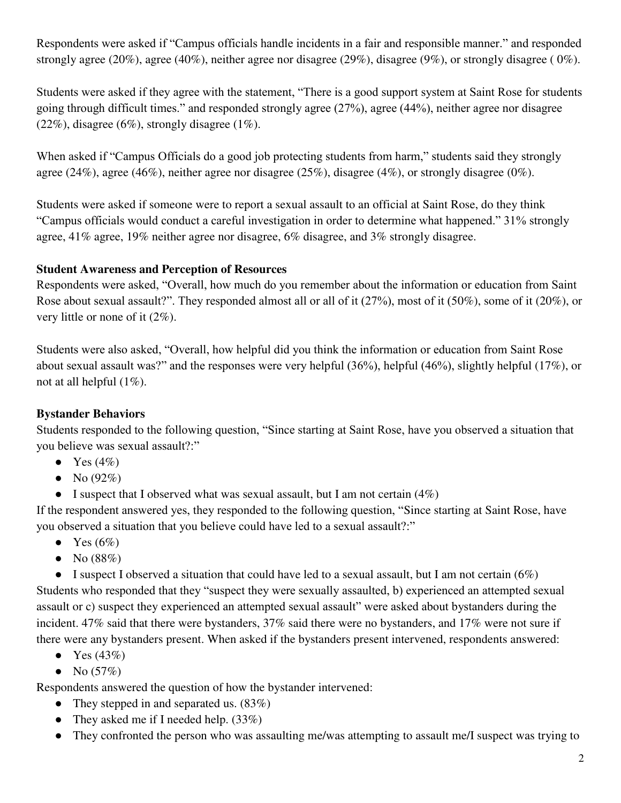Respondents were asked if "Campus officials handle incidents in a fair and responsible manner." and responded strongly agree (20%), agree (40%), neither agree nor disagree (29%), disagree (9%), or strongly disagree ( 0%).

Students were asked if they agree with the statement, "There is a good support system at Saint Rose for students going through difficult times." and responded strongly agree (27%), agree (44%), neither agree nor disagree  $(22\%)$ , disagree  $(6\%)$ , strongly disagree  $(1\%)$ .

When asked if "Campus Officials do a good job protecting students from harm," students said they strongly agree (24%), agree (46%), neither agree nor disagree (25%), disagree (4%), or strongly disagree (0%).

Students were asked if someone were to report a sexual assault to an official at Saint Rose, do they think "Campus officials would conduct a careful investigation in order to determine what happened." 31% strongly agree, 41% agree, 19% neither agree nor disagree, 6% disagree, and 3% strongly disagree.

## **Student Awareness and Perception of Resources**

Respondents were asked, "Overall, how much do you remember about the information or education from Saint Rose about sexual assault?". They responded almost all or all of it (27%), most of it (50%), some of it (20%), or very little or none of it (2%).

Students were also asked, "Overall, how helpful did you think the information or education from Saint Rose about sexual assault was?" and the responses were very helpful (36%), helpful (46%), slightly helpful (17%), or not at all helpful (1%).

# **Bystander Behaviors**

Students responded to the following question, "Since starting at Saint Rose, have you observed a situation that you believe was sexual assault?:"

- Yes  $(4\%)$
- No  $(92\%)$
- I suspect that I observed what was sexual assault, but I am not certain  $(4\%)$

If the respondent answered yes, they responded to the following question, "Since starting at Saint Rose, have you observed a situation that you believe could have led to a sexual assault?:"

- Yes  $(6\%)$
- No  $(88%)$

• I suspect I observed a situation that could have led to a sexual assault, but I am not certain  $(6%)$ Students who responded that they "suspect they were sexually assaulted, b) experienced an attempted sexual assault or c) suspect they experienced an attempted sexual assault" were asked about bystanders during the incident. 47% said that there were bystanders, 37% said there were no bystanders, and 17% were not sure if there were any bystanders present. When asked if the bystanders present intervened, respondents answered:

- Yes  $(43%)$
- No  $(57%)$

Respondents answered the question of how the bystander intervened:

- They stepped in and separated us.  $(83\%)$
- They asked me if I needed help.  $(33\%)$
- They confronted the person who was assaulting me/was attempting to assault me/I suspect was trying to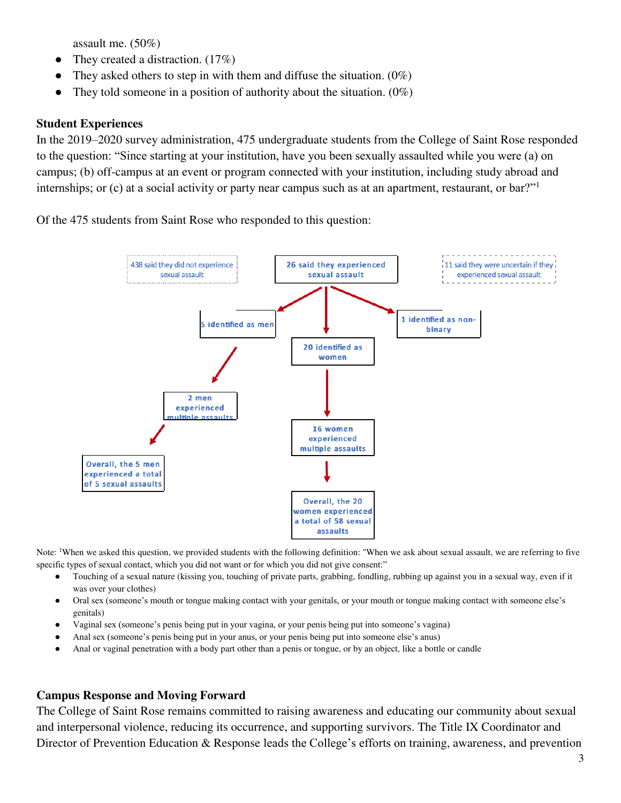assault me. (50%)

- They created a distraction.  $(17\%)$
- They asked others to step in with them and diffuse the situation.  $(0\%)$
- They told someone in a position of authority about the situation.  $(0\%)$

### **Student Experiences**

In the 2019–2020 survey administration, 475 undergraduate students from the College of Saint Rose responded to the question: "Since starting at your institution, have you been sexually assaulted while you were (a) on campus; (b) off-campus at an event or program connected with your institution, including study abroad and internships; or (c) at a social activity or party near campus such as at an apartment, restaurant, or bar?"<sup>1</sup>

Of the 475 students from Saint Rose who responded to this question:



Note: <sup>1</sup>When we asked this question, we provided students with the following definition: "When we ask about sexual assault, we are referring to five specific types of sexual contact, which you did not want or for which you did not give consent:"

- Touching of a sexual nature (kissing you, touching of private parts, grabbing, fondling, rubbing up against you in a sexual way, even if it was over your clothes)
- Oral sex (someone's mouth or tongue making contact with your genitals, or your mouth or tongue making contact with someone else's genitals)
- Vaginal sex (someone's penis being put in your vagina, or your penis being put into someone's vagina)
- Anal sex (someone's penis being put in your anus, or your penis being put into someone else's anus)
- Anal or vaginal penetration with a body part other than a penis or tongue, or by an object, like a bottle or candle

### **Campus Response and Moving Forward**

The College of Saint Rose remains committed to raising awareness and educating our community about sexual and interpersonal violence, reducing its occurrence, and supporting survivors. The Title IX Coordinator and Director of Prevention Education & Response leads the College's efforts on training, awareness, and prevention